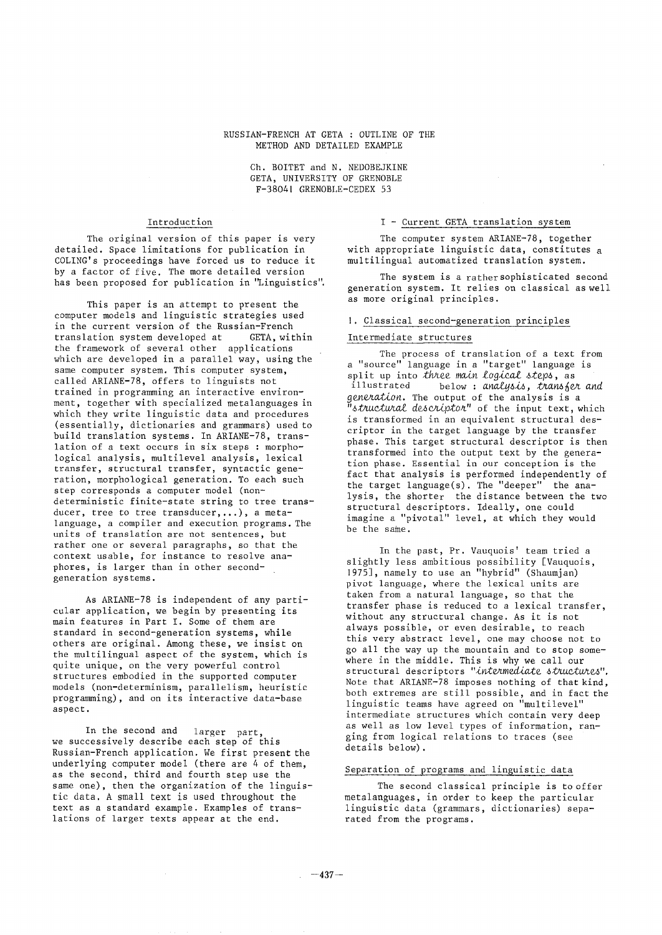### RUSSIAN-FRENCH AT GETA : OUTLINE OF THE METHOD AND DETAILED EXAMPLE

Ch. BOITET and N. NEDOBEJKINE GETA, UNIVERSITY OF GRENOBLE F-38041 GRENOBLE-CEDEX 53

# Introduction

The original version of this paper is very detailed. Space limitations for publication in COLING's proceedings have forced us to reduce it by a factor of five. The more detailed version has been proposed for publication in "Linguistics".

This paper is an attempt to present the computer models and linguistic strategies used in the current version of the Russian-French translation system developed at GETA, within the framework of several other applications which are developed in a parallel way, using the same computer system. This computer system, called ARIANE-78, offers to linguists not trained in programming an interactive environment, together with specialized metalanguages in which they write linguistic data and procedures (essentially, dictionaries and grammars) used to build translation systems. In ARIANE-78, translation of a text occurs in six steps : morphological analysis, multilevel analysis, lexical transfer, structural transfer, syntactic generation, morphological generation. To each such step corresponds a computer model (nondeterministic finite-state string to tree transducer, tree to tree transducer,...), a metalanguage, a compiler and execution programs. The units of translation are not sentences, but rather one or several paragraphs, so that the context usable, for instance to resolve anaphores, is larger than in other secondgeneration systems.

As ARIANE-78 is independent of any particular application, we begin by presenting its main features in Part I. Some of them are standard in second-generation systems, while others are original. Among these, we insist on the multilingual aspect of the system, which is quite unique, on the very powerful control structures embodied in the supported computer models (non-determinism, parallelism, heuristic programming), and on its interactive data-base aspect.

In the second and larger part, we successively describe each step of this Russian-French application. We first present the underlying computer model (there are 4 of them, as the second, third and fourth step use the same one), then the organization of the linguistic data. A small text is used throughout the text as a standard example. Examples of translations of larger texts appear at the end.

## I - Current GETA translation system

The computer system ARIANE-78, together with appropriate linguistic data, constitutes a multilingual automatized translation system.

The system is a rathersophisticated second generation system. It relies on classical as well as more original principles.

## I. C!assical second-generation principles

# Intermediate structures

The process of translation of a text from a "source" language in a "target" language is split up into *three main logical steps,* as illustrated below : *analysis, t~a~fer and generation.* The output of the analysis is a *"structural descriptor"* of the input text, which is transformed in an equivalent structural descriptor in the target language by the transfer phase. This target structural descriptor is then transformed into the output text by the generation phase. Essential in our conception is the fact that analysis is performed independently of the target language(s). The "deeper" the analysis, the shorter the distance between the two structural descriptors. Ideally, one could imagine a "pivotal" level, at which they would be the same.

In the past, Pr. Vauquois' team tried a slightly less ambitious possibility [Vauquois, 1975], namely to use an "hybrid" (Shaumjan) pivot language, where the lexical units are taken from a natural language, so that the transfer phase is reduced to a lexical transfer, without any structural change. As it is not always possible, or even desirable, to reach this very abstract level, one may choose not to go all the way up the mountain and to stop somewhere in the middle. This is why we call our structural descriptors "intermediate structures". Note that ARIANE-78 imposes nothing of that kind, both extremes are still possible, and in fact the linguistic teams have agreed on "multilevel" intermediate structures which contain very deep as well as low level types of information, ranging from logical relations to traces (see details below).

## Separation of programs and linguistic data

The second classical principle is to offer metalanguages, in order to keep the particular linguistic data (grammars, dictionaries) separated from the programs.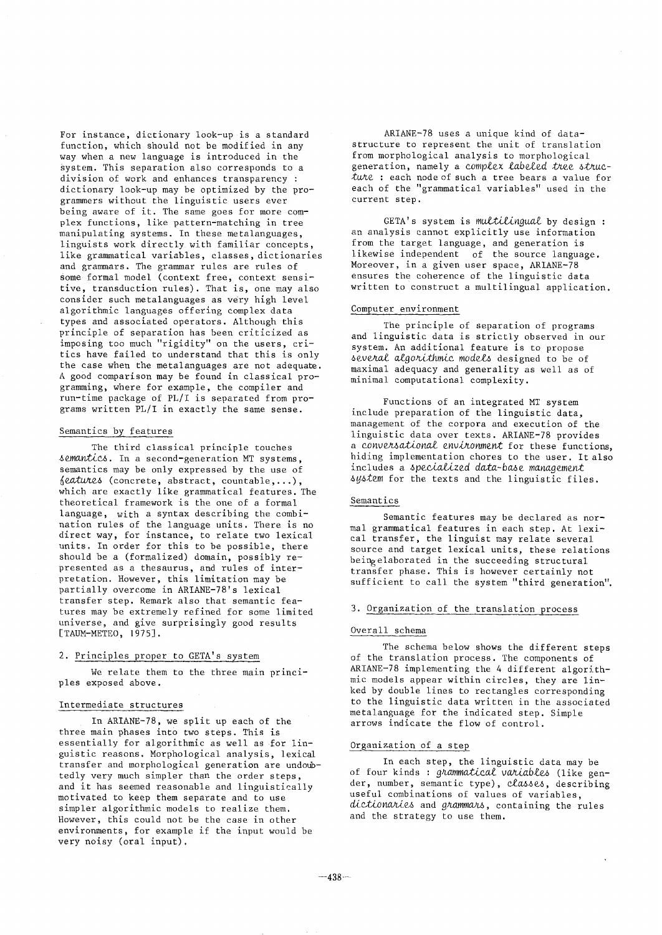For instance, dictionary look-up is a standard function, which should not be modified in any way when a new language is introduced in the system. This separation also corresponds to a division of work and enhances transparency : dictionary look-up may be optimized by the programmers without the linguistic users ever being aware of it. The same goes for more complex functions, like pattern-matching in tree manipulating systems. In these metalanguages, linguists work directly with familiar concepts, like grammatical variables, classes, dictionaries and grammars. The grammar rules are rules of some formal model (context free, context sensitive, transduction rules). That is, one may also consider such metalanguages as very high level algorithmic languages offering complex data types and associated operators. Although this principle of separation has been criticized as imposing too much "rigidity" on the users, critics have failed to understand that this is only the case when the metalanguages are not adequate. A good comparison may be found in classical programming, where for example, the compiler and run-time package of PL/I is separated from programs written PL/I in exactly the same sense.

## Semantics by features

The third classical principle touches semantics. In a second-generation MT systems, semantics may be only expressed by the use of *features* (concrete, abstract, countable,...), which are exactly like grammatical features. The theoretical framework is the one of a formal language, with a syntax describing the combination rules of the language units. There is no direct way, for instance, to relate two lexical units. In order for this to be possible, there should be a (formalized) domain, possibly represented as a thesaurus, and rules of interpretation. However, this limitation may be partially overcome in ARIANE-78's lexical transfer step. Remark also that semantic features may be extremely refined for some limited universe, and give surprisingly good results [TAUM-METEO, 1975].

# 2. Principles proper to GETA's system

We relate them to the three main principles exposed above.

#### Intermediate structures

In ARIANE-78, we split up each of the three main phases into two steps. This is essentially for algorithmic as well as for linguistic reasons, Morphological analysis, lexical transfer and morphological generation are undoubtedly very much simpler than the order steps, and it has seemed reasonable and linguistically motivated to keep them separate and to use simpler algorithmic models to realize them. However, this could not be the case in other environments, for example if the input would be very noisy (oral input).

ARIANE-78 uses a unique kind of datastructure to represent the unit of translation from morphological analysis to morphological generation, namely a *complex labeled tree structure* : each node of such a tree bears a value for each of the "grammatical variables" used in the current step.

GETA's system is *multilingual* by design : an analysis cannot explicitly use information from the target language, and generation is likewise independent of the source language. Moreover, in a given user space, ARIANE-78 ensures the coherence of the linguistic data written to construct a multilingual application.

# Computer environment

The principle of separation of programs and linguistic data is strictly observed in our system. An additional feature is to propose *several algorithmic models* designed to be of maximal adequacy and generality as well as of minimal computational complexity.

Functions of an integrated MT system include preparation of the linguistic data, management of the corpora and execution of the linguistic data over texts. ARIANE-78 provides a *conversational environment* for these functions, hiding implementation chores to the user. It also includes a *specialized data-base management system* for the texts and the linguistic files.

#### Semantics

Semantic features may be declared as normal grammatical features in each step. At lexical transfer, the linguist may relate several source and target lexical units, these relations being elaborated in the succeeding structural transfer phase. This is however certainly not sufficient to call the system "third generation".

## 3. Organization of the translation process

#### Overall schema

The schema below shows the different steps of the translation process. The components of ARIANE-78 implementing the 4 different algorithmic models appear within circles, they are linked by double lines to rectangles corresponding to the linguistic data written in the associated metalanguage for the indicated step. Simple arrows indicate the flow of control.

## Organization of a step

In each step, the linguistic data may be of four kinds : *grammatical variables* (like gender, number, semantic type), *classes,* describing useful combinations of values of variables, dictionaries and *grammars*, containing the rules and the strategy to use them.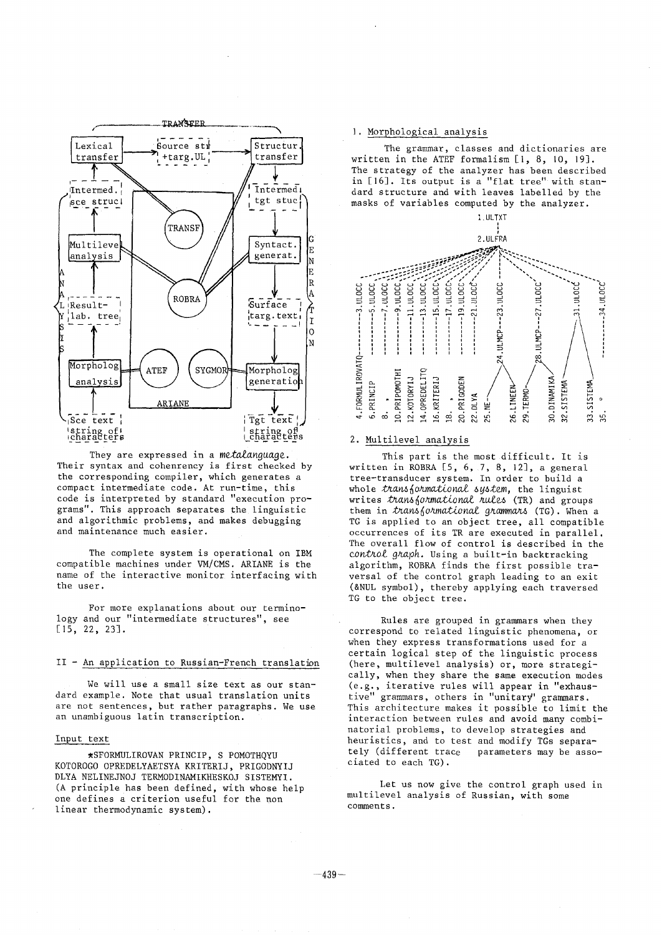

They are expressed in a *metalanguage.*  Their syntax and cohenrency is first checked by the corresponding compiler, which generates a compact intermediate code. At run-time, this code is interpreted by standard "execution programs". This approach separates the linguistic and algorithmic problems, and makes debugging and maintenance much easier.

The complete system is operational on IBM compatible machines under VM/CMS. ARIANE is the name of the interactive monitor interfacing with the user.

For more explanations about our terminology and our "intermediate structures", see [15, 22, 23].

# II - An application to Russian-French translation

We will use a small size text as our standard example. Note that usual translation units are not sentences, but rather paragraphs. We use an unambiguous latin transcription.

## Input text

• SFORMULIROVAN PRINCIP, S POMOTHQYU KOTOROGO OPREDELYAETSYA KRITERIJ, PRIGODNYIJ DLYA NELINEJNOJ TERMODINAMIKHESKOJ SISTEMYI. (A principle has been defined, with whose help one defines a criterion useful for the non linear thermodynamic system).

# I. Morphological analysis

The grammar, classes and dictionaries are written in the ATEF formalism [l, 8, IO, 19]. The strategy of the analyzer has been described in [16]. Its output is a "flat tree" with standard structure and with leaves labelled by the masks of variables computed by the analyzer.



#### 2. Multilevel analysis

This part is the most difficult. It is written in ROBRA [5, 6, 7, 8, |2], a general tree-transducer system. In order to build a whole *transformational system,* the linguist writes *t*rans*{ormational rules* (TR) and groups them in *transformational grammars* (TG). When a TG is applied to an object tree, all compatible occurrences of its TR are executed in parallel. The overall flow of control is described in the *control graph.* Using a built-in backtracking algorithm, ROBRA finds the first possible traversal of the control graph leading to an exit (&NUL symbol), thereby applying each traversed TG to the object tree.

Rules are grouped in grammars when they correspond to related linguistic phenomena, or when they express transformations used for a certain logical step of the linguistic process (here, multilevel analysis) or, more strategically, when they share the same execution modes (e.g., iterative rules will appear in "exhaustive" grammars, others in "unitary' grammars. This architecture makes it possible to limit the interaction between rules and avoid many combinatorial problems, to develop strategies and heuristics, and to test and modify TGs separa-<br>tely (different trace parameters may be asso parameters may be associated to each TG).

Let us now give the control graph used in multilevel analysis of Russian, with some comment s.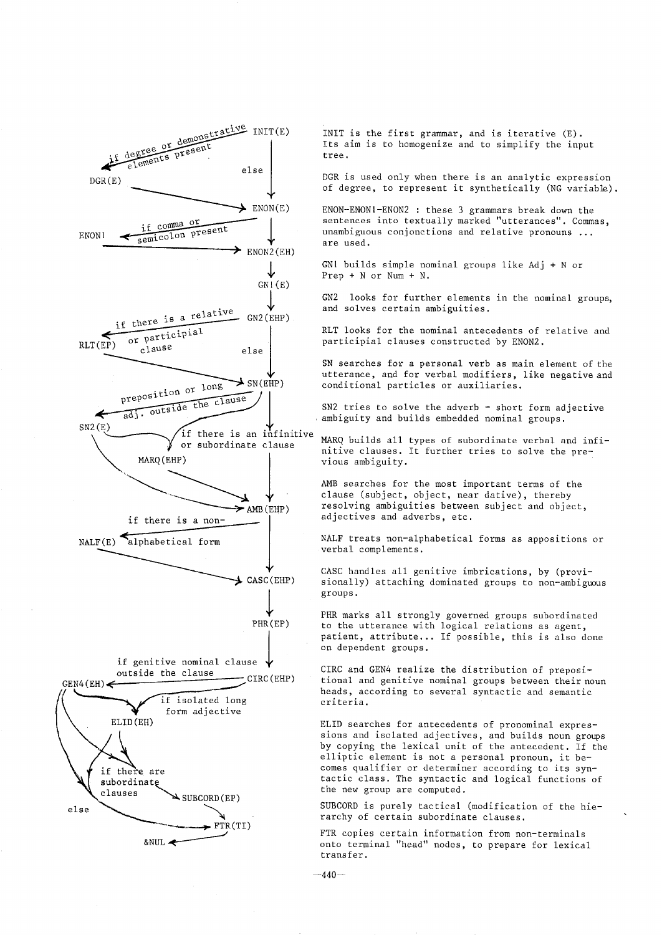

INIT is the first grammar, and is iterative (E). Its aim is to homogenize and to simplify the input tree.

DGR is used only when there is an analytic expression of degree, to represent it synthetically (NG variable).

ENON-ENONI-ENON2 : these 3 grammars break down the sentences into textually marked "utterances". Commas, unambiguous conjonctions and relative pronouns ... are used.

GNI builds simple nominal groups like Adj + N or Prep  $+ N$  or Num  $+ N$ .

GN2 looks for further elements in the nominal groups, and solves certain ambiguities.

RLT looks for the nominal antecedents of relative and participial clauses constructed by ENON2.

SN searches for a personal verb as main element of the utterance, and for verbal modifiers, like negative and conditional particles or auxiliaries.

SN2 tries to solve the adverb  $-$  short form adjective ambiguity and builds embedded nominal groups.

MARQ builds all types of subordinate verbal and infinitive clauses. It further tries to solve the previous ambiguity.

AMB searches for the most important terms of the clause (subject, object, near dative), thereby resolving ambiguities between subject and object, adjectives and adverbs, etc.

NALF treats non-alphabetical forms as appositions or verbal complements.

CASC handles all genitive imbrications, by (provisionally) attaching dominated groups to non-ambiguous groups.

PHR marks all strongly governed groups subordinated to the utterance with logical relations as agent, patient, attribute... If possible, this is also done on dependent groups.

CIRC and GEN4 realize the distribution of prepositional and genitive nominal groups between their noun heads, according to several syntactic and semantic criteria.

ELID searches for antecedents of pronominal expressions and isolated adjectives, and builds noun groups by copying the lexical unit of the antecedent. If the elliptic element is not a personal pronoun, it becomes qualifier or determiner according to its syntactic class. The syntactic and logical functions of the new group are computed.

SUBCORD is purely tactical (modification of the hierarchy of certain subordinate clauses.

FTR copies certain information from non-terminals onto terminal "head" nodes, to prepare for lexical transfer.

 $-440-$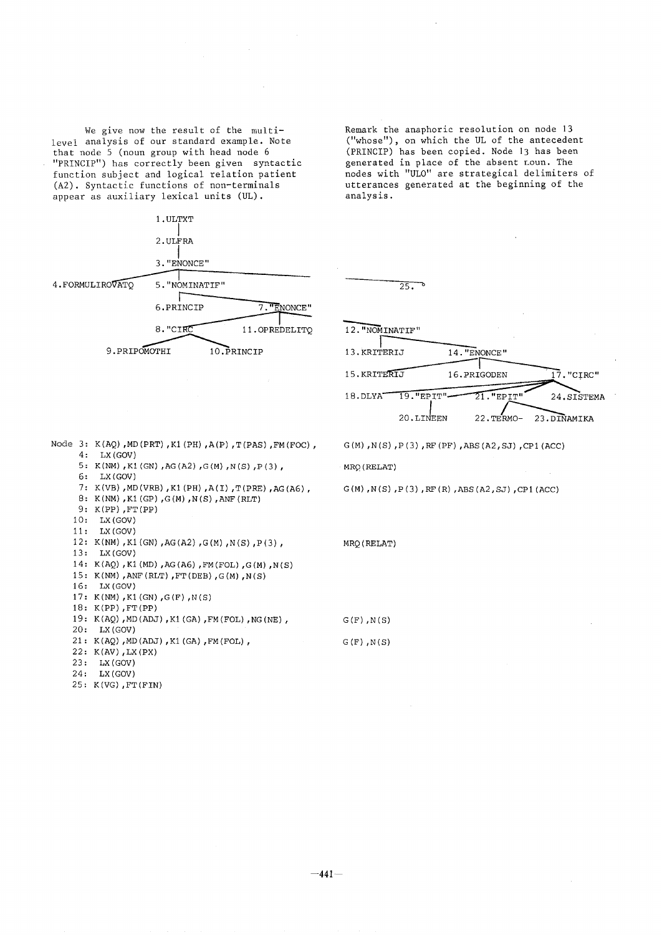We give now the result of the multilevel analysis of our standard example. Note that node 5 (noun group with head node 6 "PRINCIP") has correctly been given syntactic function subject and logical relation patient (A2). Syntactic functions of non-terminals appear as auxiliary lexical units (UL).

I.ULTXT **I**  2. ULFRA **<sup>I</sup>**3."ENONCE" 4.FORMULIROVATO 5."NOMINATIF"  $6. PRINCIP$   $7. "ENONCE"$ 8. "CIRC 11. OPREDELITQ 9.PRIPOMOTHI 10. PRINCIP

Remark the anaphoric resolution on node 13 ("whose"), on which the UL of the antecedent (PRINCIP) has been copied. Node 13 has been generated in place of the absent noun. The nodes with "UL0" are strategical delimiters of utterances generated at the beginning of the analysis.



 $G(M)$ ,  $N(S)$ ,  $P(3)$ ,  $RF(PF)$ ,  $ABS( A2, SJ)$ ,  $CP1( ACC)$ 

 $G(M)$  ,  $N(S)$  ,  $P(3)$  ,  $RF(R)$  ,  $ABS(A2,SJ)$  ,  $CP1(ACC)$ 

Node 3 **:** K(AQ),MD(PRT),KI(PH),A(P),T(PAS),FM(FOC), 4: LX(GOV) 5: K(NM),KI(GN) ,AG(A2) ,G(M),N(S),P(3), 6: LX(GOV) 7: K(VB),MD(VRB),KI(PH),A(I),T(PRE),AG(A6), 8: K(NM),KI(GP),G(M),N(S),ANF(RLT) 9: K(PP),FT(PP) i0: LX(GOV) ii: LX(GOV) 12: K(NM),KI(GN),AG(A2),G(M),N(S),P(3), 13: LX(GOV) 14: K(AQ),KI(MD),AG(A6),FM(FOL),G(M),N(S) 15: K(NM),ANF(RLT),FT(DEB),G(M),N(S) 16: LX(GOV) 17: K(NM),KI(GN),G(F),N(S) 18: K(PP),FT(PP) 19: K(AQ),MD(ADJ),KI(GA),FM(FOL),NG(NE), 20: LX(GOV) 21: K(AQ),MD(ADJ),KI(GA),FM(FOL), 22: K(AV),LX(PX) 23: LX(GOV)

#### 24: LX(GOV)

25: K(VG),FT(FIN)

MRQ (RELAT)

 $G(F)$ ,  $N(S)$  $G(F)$ ,  $N(S)$ 

MRQ(RELAT)

 $-441-$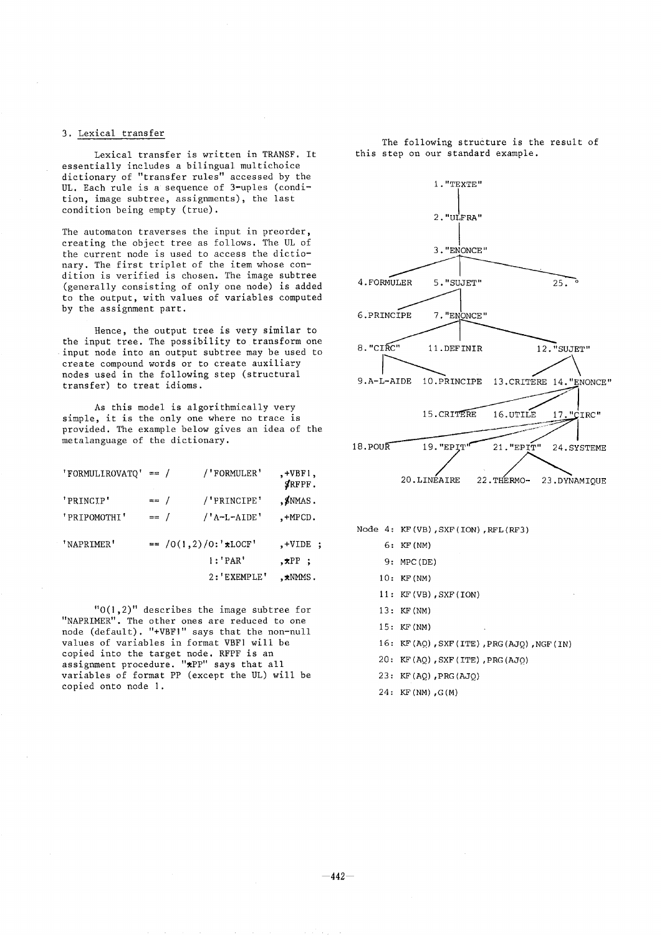# 3. Lexical transfer

Lexical transfer is written in TRANSF. It essentially includes a bilingual multichoice dictionary of "transfer rules" accessed by the UL. Each rule is a sequence of 3-uples (condition, image subtree, assignments), the last condition being empty (true).

The automaton traverses the input in preorder, creating the object tree as follows. The UL of the current node is used to access the dictionary. The first triplet of the item whose condition is verified is chosen. The image subtree (generally consisting of only one node) is added to the output, with values of variables computed by the assignment part.

Hence, the output tree is very similar to the input tree. The possibility to transform one input node into an output subtree may be used to create compound words or to create auxiliary nodes used in the following step (structural transfer) to treat idioms.

As this model is algorithmically very simple, it is the only one where no trace is provided. The example below gives an idea of the metalanguage of the dictionary.

| 'FORMULIROVATQ' == / |        | /'FORMULER'             | $, +VBF1,$<br>SRFPF. |
|----------------------|--------|-------------------------|----------------------|
| 'PRINCIP'            | $==$ / | /'PRINCIPE'             | $,$ $\sharp$ NMAS.   |
| ' PRIPOMOTHI'        | $= $ / | /'A-L-AIDE'             | $, +$ M $PCD$ .      |
| 'NAPRIMER'           |        | $= /0(1,2)/0$ : **LOCF' | $, +$ VIDE $,$       |
|                      |        | 1: 'PAR'                | $\star$ PP :         |
|                      |        | 2:'EXEMPLE'             | $, \star$ NMMS.      |

"0(1,2)" describes the image subtree for "NAPRIMER". The other ones are reduced to one node (default). "+VBF]" says that the non-null values of variables in format VBF] will be copied into the target node. RFPF is an assignment procedure. "\*PP" says that all variables of format PP (except the UL) will be copied onto node 1.

The following structure is the result of this step on our standard example.

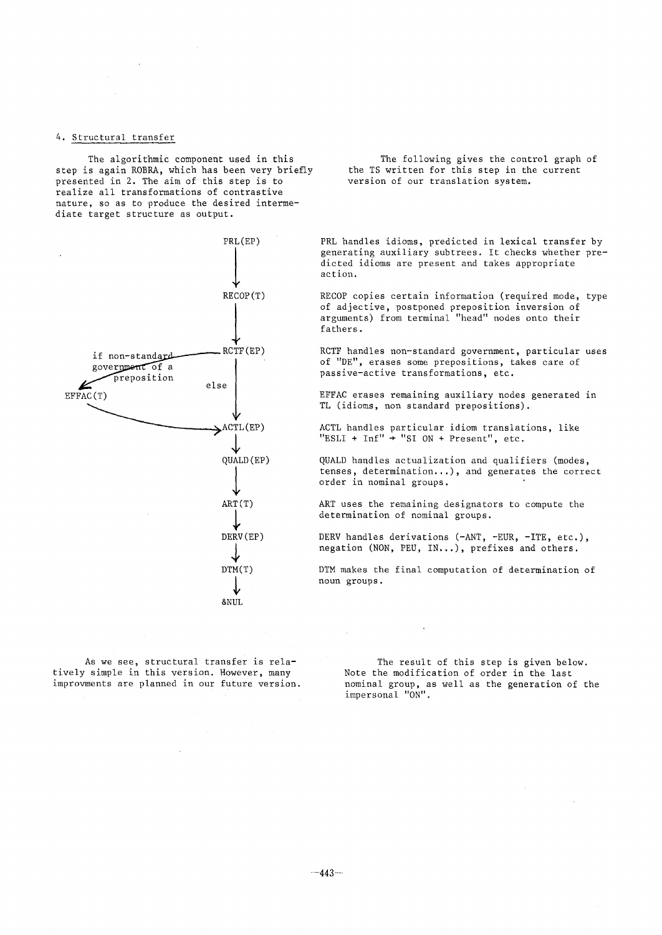## 4. Structural transfer

The algorithmic component used in this step is again ROBRA, which has been very briefly presented in 2. The aim of this step is to realize all transformations of contrastive nature, so as to produce the desired intermediate target structure as output.



The following gives the control graph of the TS written for this step in the current version of our translation system.

PRL handles idioms, predicted in lexical transfer by generating auxiliary subtrees. It checks whether predicted idioms are present and takes appropriate action.

RECOP copies certain information (required mode, type of adjective, postponed preposition inversion of arguments) from terminal "head" nodes onto their fathers.

RCTF handles non-standard government, particular uses of "DE", erases some prepositions, takes care of passive-active transformations, etc.

EFFAC erases remaining auxiliary nodes generated in TL (idioms, non standard prepositions).

ACTL handles particular idiom translations, like  $"ESLI + Inf" + "SI ON + Present", etc.$ 

QUALD handles actualization and qualifiers (modes, tenses, determination...), and generates the correct order in nominal groups.

ART uses the remaining designators to compute the determination of nominal groups.

DERV handles derivations (-ANT, -EUR, -ITE, etc.), negation (NON, PEU, IN...), prefixes and others.

DTM makes the final computation of determination of noun groups.

As we see, structural transfer is relatively simple in this version. However, many improvments are planned in our future version.

The result of this step is given below. Note the modification of order in the last nominal group, as well as the generation of the impersonal "ON".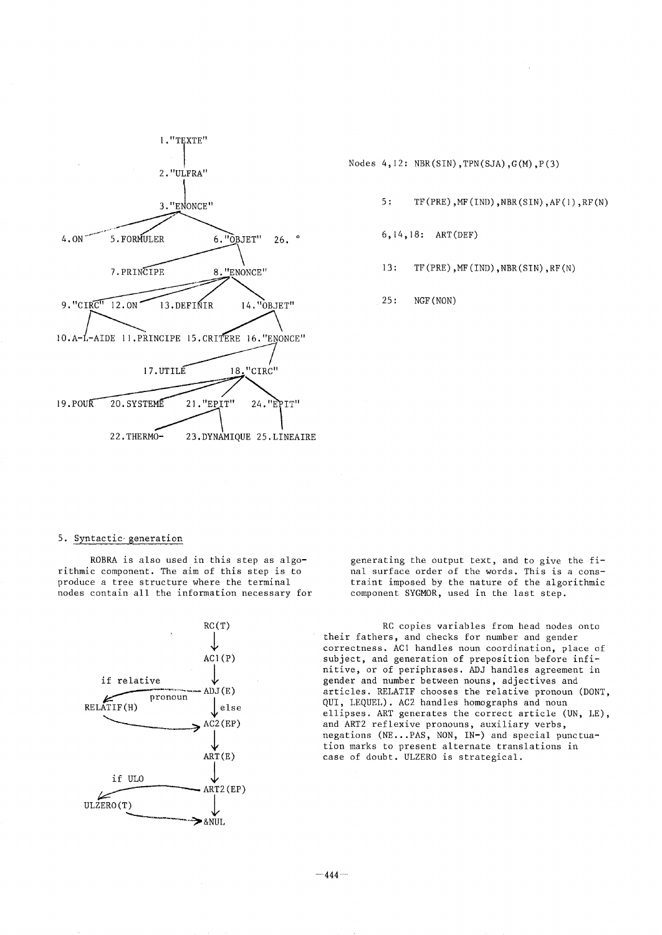

Nodes  $4,12: \text{NBR(SIN)},\text{TPN(SJA)},\text{G(M)},\text{P(3)}$ 

- 5: TF (PRE) ,MF (IND) ,NBR(SIN) ,AF(1) ,RF (N)
- 6, i4,18: ART(DEF)
- 13: TF(PRE), MF(IND), NBR(SIN), RF(N)

25: NGF(NON)

## 5. Syntactic~generation

ROBRA is also used in this step as algorithmic component. The aim of this step is to produce a tree structure where the terminal nodes contain all the information necessary for



generating the output text, and to give the final surface order of the words. This is a constraint imposed by the nature of the algorithmic component SYGMOR, used in the last step.

RC copies variables from head nodes onto their fathers, and checks for number and gender correctness. AC! handles noun coordination, place of subject, and generation of preposition before infinitive, or of periphrases. ADJ handles agreement in gender and number between nouns, adjectives and articles. RELATIF chooses the relative pronoun (DONT, QUI, LEQUEL). AC2 handles homographs and noun ellipses. ART generates the correct article (UN, LE), and ART2 reflexive pronouns, auxiliary verbs, negations (NE...PAS, NON, IN-) and special punctuation marks to present alternate translations in case of doubt. ULZERO is strategical.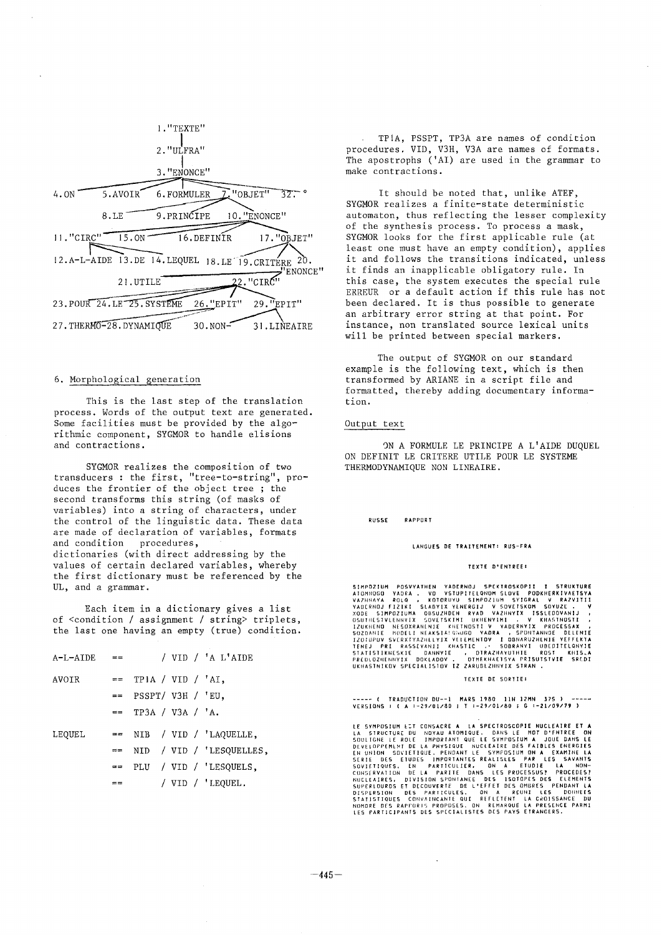

## 6. Morphological generation

This is the last step of the translation process. Words of the output text are generated. Some facilities must be provided by the algorithmic component, SYGMOR to handle elisions and contractions.

SYGMOR realizes the composition of two transducers : the first, "tree-to-string", produces the frontier of the object tree ; the second transforms this string (of masks of variables) into a string of characters, under the control of the linguistic data. These data are made of declaration of variables, formats and condition procedures, dictionaries (with direct addressing by the values of certain declared variables, whereby the first dictionary must be referenced by the UL, and a grammar.

Each item in a dictionary gives a list of <condition / assignment / string> triplets, the last one having an empty (true) condition.

| $A-L-ALDE$ == |    |                        |  | / VID / 'A L'AIDE           |
|---------------|----|------------------------|--|-----------------------------|
| AVOTR         |    | $==$ TPIA / VID / 'AI, |  |                             |
|               |    | $==$ PSSPT/ V3H / 'EU, |  |                             |
|               |    | $=$ TP3A / V3A / 'A.   |  |                             |
| LEQUEL        |    |                        |  | $==$ NIB / VID / 'LAQUELLE, |
|               |    |                        |  | == NID / VID / 'LESQUELLES, |
|               |    |                        |  | $==$ PLU / VID / 'LESQUELS, |
|               | == |                        |  | / VID / 'LEQUEL.            |

TPiA, PSSPT, TP3A are names of condition procedures, VID, V3H, V3A are names of formats. The apostrophs ('AI) are used in the grammar to make contractions.

It should be noted that, unlike ATEF, SYGMOR realizes a finite-state deterministic automaton, thus reflecting the lesser complexity of the synthesis process. To process a mask, SYGMOR looks for the first applicable rule (at least one must have an empty condition), applies it and follows the transitions indicated, unless it finds an inapplicable obligatory rule. In this case, the system executes the special rule ERREUR or a default action if this rule has not been declared. It is thus possible to generate an arbitrary error string at that point. For instance, non translated source lexical units will be printed between special markers.

The output of SYGMOR on our standard example is the following text, which is then transformed by ARIANE in a script file and formatted, thereby adding documentary information.

### Output text

ON A FORMULE LE PRINCIPE A L'AIDE DUQUEL ON DEFINIT LE CRITERE UTILE POUR LE SYSTEME THERMODYNAMIQUE NON LINEAIRE.

#### **RUSSE** RAPPORT

#### LANGUES DE TRAITEMENT: RUS-FRA

#### TEXTE D'ENTREE:

SIMPOZIUM POSVYATHEN YADERNOU SPEKTROSKOPII I STRUKTURE<br>AIDHNOGO YADEA , VO VSTUPITELQNOM SLOVE PODKHERKIVAETSYA<br>VAZHNAYA ROLQ , KOTORUYU SIMPOZIUM SYIGRAL V RAZVITII<br>XODE SIMPOZIUMA OBSUZNOEN RYAD VAZHNYIK ISSLEDOVANIJ ,<br>

#### TEXTE DE SORTIE:

---- ( TRADUCTION DU--1 MARS 1980 11H 12MN 37S ) ----<br>VERSIONS : ( A :-29/01/80 ; T :-29/01/80 ; G :-21/09/79 )

LE SYMPOSIUM EST CONSACRE À LA SPECIROSCOPIE NUCLEAIRE ET À<br>LA SIRUCTURE DU NOVAU ATOMIQUE. DANS LE MOT D'FRIREE ON<br>EN CULIONE LE ROLE IMPORTANT QUE LE SYMPOSIUM À JOUE DANS LE<br>EN UNION SOYIETIQUE. PENDANT LE SYMPOSIUM QN